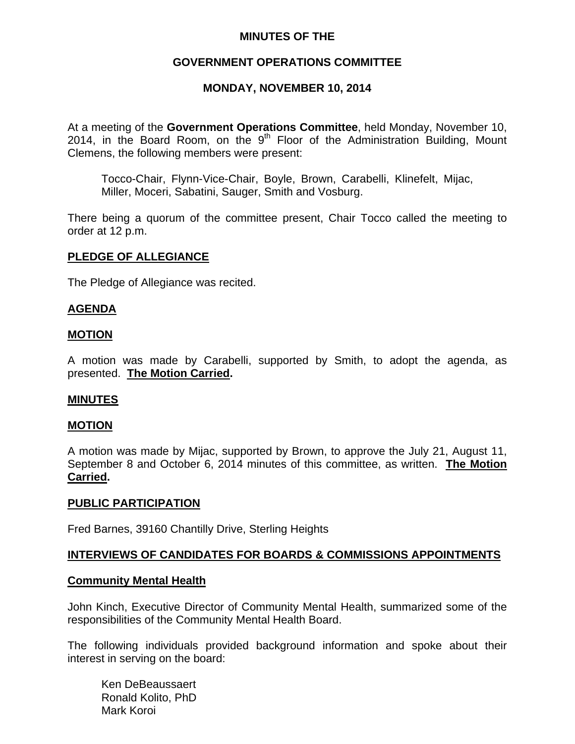## **MINUTES OF THE**

## **GOVERNMENT OPERATIONS COMMITTEE**

## **MONDAY, NOVEMBER 10, 2014**

At a meeting of the **Government Operations Committee**, held Monday, November 10, 2014, in the Board Room, on the  $9<sup>th</sup>$  Floor of the Administration Building, Mount Clemens, the following members were present:

Tocco-Chair, Flynn-Vice-Chair, Boyle, Brown, Carabelli, Klinefelt, Mijac, Miller, Moceri, Sabatini, Sauger, Smith and Vosburg.

There being a quorum of the committee present, Chair Tocco called the meeting to order at 12 p.m.

#### **PLEDGE OF ALLEGIANCE**

The Pledge of Allegiance was recited.

### **AGENDA**

#### **MOTION**

A motion was made by Carabelli, supported by Smith, to adopt the agenda, as presented. **The Motion Carried.** 

### **MINUTES**

### **MOTION**

A motion was made by Mijac, supported by Brown, to approve the July 21, August 11, September 8 and October 6, 2014 minutes of this committee, as written. **The Motion Carried.** 

#### **PUBLIC PARTICIPATION**

Fred Barnes, 39160 Chantilly Drive, Sterling Heights

### **INTERVIEWS OF CANDIDATES FOR BOARDS & COMMISSIONS APPOINTMENTS**

#### **Community Mental Health**

John Kinch, Executive Director of Community Mental Health, summarized some of the responsibilities of the Community Mental Health Board.

The following individuals provided background information and spoke about their interest in serving on the board:

 Ken DeBeaussaert Ronald Kolito, PhD Mark Koroi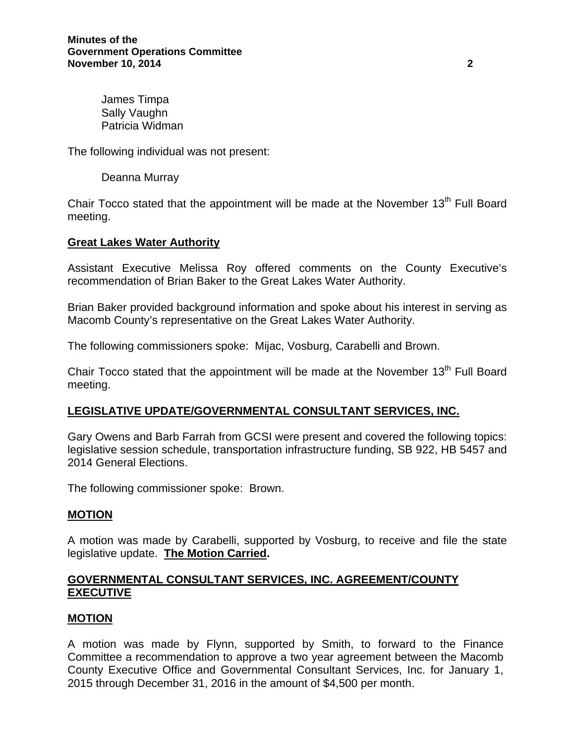James Timpa Sally Vaughn Patricia Widman

The following individual was not present:

Deanna Murray

Chair Tocco stated that the appointment will be made at the November  $13<sup>th</sup>$  Full Board meeting.

## **Great Lakes Water Authority**

Assistant Executive Melissa Roy offered comments on the County Executive's recommendation of Brian Baker to the Great Lakes Water Authority.

Brian Baker provided background information and spoke about his interest in serving as Macomb County's representative on the Great Lakes Water Authority.

The following commissioners spoke: Mijac, Vosburg, Carabelli and Brown.

Chair Tocco stated that the appointment will be made at the November  $13<sup>th</sup>$  Full Board meeting.

### **LEGISLATIVE UPDATE/GOVERNMENTAL CONSULTANT SERVICES, INC.**

Gary Owens and Barb Farrah from GCSI were present and covered the following topics: legislative session schedule, transportation infrastructure funding, SB 922, HB 5457 and 2014 General Elections.

The following commissioner spoke: Brown.

### **MOTION**

A motion was made by Carabelli, supported by Vosburg, to receive and file the state legislative update. **The Motion Carried.** 

## **GOVERNMENTAL CONSULTANT SERVICES, INC. AGREEMENT/COUNTY EXECUTIVE**

### **MOTION**

A motion was made by Flynn, supported by Smith, to forward to the Finance Committee a recommendation to approve a two year agreement between the Macomb County Executive Office and Governmental Consultant Services, Inc. for January 1, 2015 through December 31, 2016 in the amount of \$4,500 per month.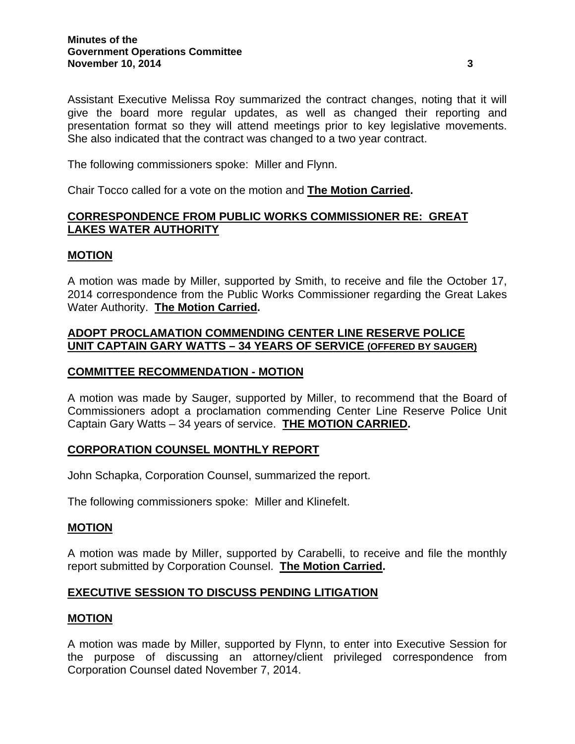Assistant Executive Melissa Roy summarized the contract changes, noting that it will give the board more regular updates, as well as changed their reporting and presentation format so they will attend meetings prior to key legislative movements. She also indicated that the contract was changed to a two year contract.

The following commissioners spoke: Miller and Flynn.

Chair Tocco called for a vote on the motion and **The Motion Carried.**

# **CORRESPONDENCE FROM PUBLIC WORKS COMMISSIONER RE: GREAT LAKES WATER AUTHORITY**

## **MOTION**

A motion was made by Miller, supported by Smith, to receive and file the October 17, 2014 correspondence from the Public Works Commissioner regarding the Great Lakes Water Authority. **The Motion Carried.** 

## **ADOPT PROCLAMATION COMMENDING CENTER LINE RESERVE POLICE UNIT CAPTAIN GARY WATTS – 34 YEARS OF SERVICE (OFFERED BY SAUGER)**

### **COMMITTEE RECOMMENDATION - MOTION**

A motion was made by Sauger, supported by Miller, to recommend that the Board of Commissioners adopt a proclamation commending Center Line Reserve Police Unit Captain Gary Watts – 34 years of service. **THE MOTION CARRIED.** 

# **CORPORATION COUNSEL MONTHLY REPORT**

John Schapka, Corporation Counsel, summarized the report.

The following commissioners spoke: Miller and Klinefelt.

### **MOTION**

A motion was made by Miller, supported by Carabelli, to receive and file the monthly report submitted by Corporation Counsel. **The Motion Carried.** 

# **EXECUTIVE SESSION TO DISCUSS PENDING LITIGATION**

### **MOTION**

A motion was made by Miller, supported by Flynn, to enter into Executive Session for the purpose of discussing an attorney/client privileged correspondence from Corporation Counsel dated November 7, 2014.